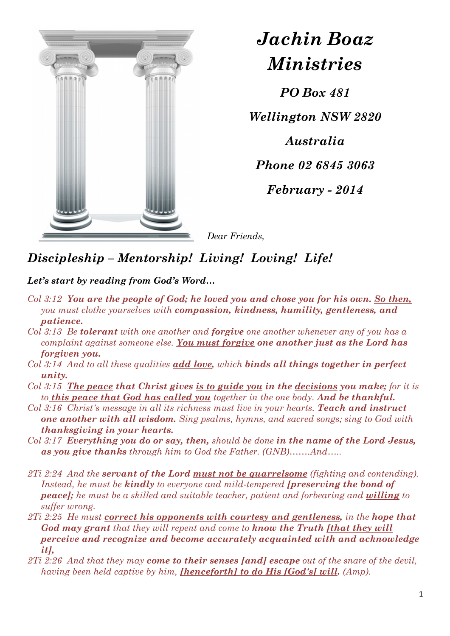

*Jachin Boaz Ministries*

*PO Box 481* 

*Wellington NSW 2820* 

*Australia* 

*Phone 02 6845 3063* 

*February - 2014* 

*Dear Friends,* 

## *Discipleship – Mentorship! Living! Loving! Life!*

## *Let's start by reading from God's Word…*

- *Col 3:12 You are the people of God; he loved you and chose you for his own. So then, you must clothe yourselves with compassion, kindness, humility, gentleness, and patience.*
- *Col 3:13 Be tolerant with one another and forgive one another whenever any of you has a complaint against someone else. You must forgive one another just as the Lord has forgiven you.*
- *Col 3:14 And to all these qualities add love, which binds all things together in perfect unity.*
- *Col 3:15 The peace that Christ gives is to guide you in the decisions you make; for it is to this peace that God has called you together in the one body. And be thankful.*
- *Col 3:16 Christ's message in all its richness must live in your hearts. Teach and instruct one another with all wisdom. Sing psalms, hymns, and sacred songs; sing to God with thanksgiving in your hearts.*
- *Col 3:17 Everything you do or say, then, should be done in the name of the Lord Jesus, as you give thanks through him to God the Father. (GNB)…….And…..*
- *2Ti 2:24 And the servant of the Lord must not be quarrelsome (fighting and contending). Instead, he must be kindly to everyone and mild-tempered [preserving the bond of peace]; he must be a skilled and suitable teacher, patient and forbearing and willing to suffer wrong.*
- *2Ti 2:25 He must correct his opponents with courtesy and gentleness, in the hope that God may grant that they will repent and come to know the Truth [that they will perceive and recognize and become accurately acquainted with and acknowledge it],*
- *2Ti 2:26 And that they may come to their senses [and] escape out of the snare of the devil, having been held captive by him, [henceforth] to do His [God's] will. (Amp).*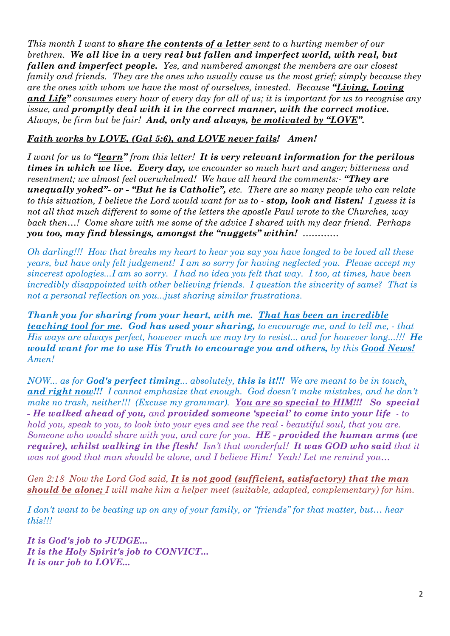*This month I want to share the contents of a letter sent to a hurting member of our brethren. We all live in a very real but fallen and imperfect world, with real, but fallen and imperfect people. Yes, and numbered amongst the members are our closest family and friends. They are the ones who usually cause us the most grief; simply because they are the ones with whom we have the most of ourselves, invested. Because "Living, Loving and Life" consumes every hour of every day for all of us; it is important for us to recognise any issue, and promptly deal with it in the correct manner, with the correct motive. Always, be firm but be fair! And, only and always, be motivated by "LOVE".* 

## *Faith works by LOVE, (Gal 5:6), and LOVE never fails! Amen!*

*I want for us to "learn" from this letter! It is very relevant information for the perilous times in which we live. Every day, we encounter so much hurt and anger; bitterness and resentment; we almost feel overwhelmed! We have all heard the comments:- "They are unequally yoked"- or - "But he is Catholic", etc. There are so many people who can relate to this situation, I believe the Lord would want for us to - stop, look and listen! I guess it is not all that much different to some of the letters the apostle Paul wrote to the Churches, way back then…! Come share with me some of the advice I shared with my dear friend. Perhaps you too, may find blessings, amongst the "nuggets" within! …………* 

*Oh darling!!! How that breaks my heart to hear you say you have longed to be loved all these years, but have only felt judgement! I am so sorry for having neglected you. Please accept my sincerest apologies...I am so sorry. I had no idea you felt that way. I too, at times, have been incredibly disappointed with other believing friends. I question the sincerity of same? That is not a personal reflection on you...just sharing similar frustrations.* 

*Thank you for sharing from your heart, with me. That has been an incredible teaching tool for me. God has used your sharing, to encourage me, and to tell me, - that His ways are always perfect, however much we may try to resist... and for however long...!!! He would want for me to use His Truth to encourage you and others, by this Good News! Amen!* 

*NOW... as for God's perfect timing... absolutely, this is it!!! We are meant to be in touch, and right now!!! I cannot emphasize that enough. God doesn't make mistakes, and he don't make no trash, neither!!! (Excuse my grammar). You are so special to HIM!!! So special - He walked ahead of you, and provided someone 'special' to come into your life - to hold you, speak to you, to look into your eyes and see the real - beautiful soul, that you are. Someone who would share with you, and care for you. HE - provided the human arms (we require), whilst walking in the flesh! Isn't that wonderful! It was GOD who said that it was not good that man should be alone, and I believe Him! Yeah! Let me remind you…*

*Gen 2:18 Now the Lord God said, It is not good (sufficient, satisfactory) that the man should be alone; I will make him a helper meet (suitable, adapted, complementary) for him.* 

*I don't want to be beating up on any of your family, or "friends" for that matter, but… hear this!!!*

*It is God's job to JUDGE... It is the Holy Spirit's job to CONVICT... It is our job to LOVE...*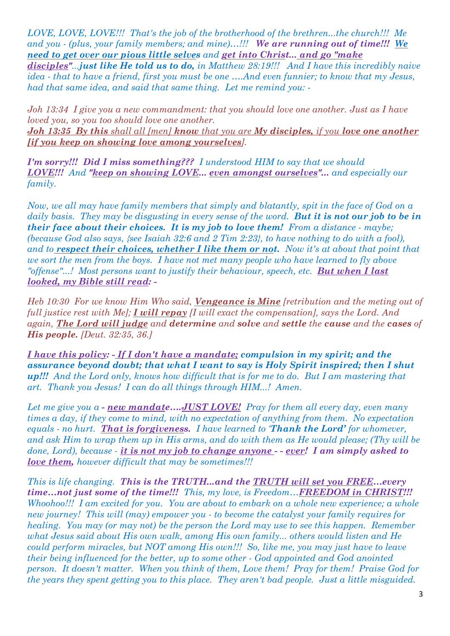*LOVE, LOVE, LOVE!!! That's the job of the brotherhood of the brethren...the church!!! Me and you - (plus, your family members; and mine)…!!! We are running out of time!!! We need to get over our pious little selves and get into Christ... and go "make* 

*disciples"...just like He told us to do, in Matthew 28:19!!! And I have this incredibly naive idea - that to have a friend, first you must be one ….And even funnier; to know that my Jesus, had that same idea, and said that same thing. Let me remind you: -*

*Joh 13:34 I give you a new commandment: that you should love one another. Just as I have loved you, so you too should love one another. Joh 13:35 By this shall all [men] know that you are My disciples, if you love one another [if you keep on showing love among yourselves].*

*I'm sorry!!! Did I miss something??? I understood HIM to say that we should LOVE!!! And "keep on showing LOVE... even amongst ourselves"... and especially our family.* 

*Now, we all may have family members that simply and blatantly, spit in the face of God on a daily basis. They may be disgusting in every sense of the word. But it is not our job to be in their face about their choices. It is my job to love them! From a distance - maybe; (because God also says, {see Isaiah 32:6 and 2 Tim 2:23}, to have nothing to do with a fool), and to respect their choices, whether I like them or not. Now it's at about that point that we sort the men from the boys. I have not met many people who have learned to fly above "offense"...! Most persons want to justify their behaviour, speech, etc. But when I last looked, my Bible still read: -*

*Heb 10:30 For we know Him Who said, Vengeance is Mine [retribution and the meting out of full justice rest with Me]; I will repay [I will exact the compensation], says the Lord. And again, The Lord will judge and determine and solve and settle the cause and the cases of His people. [Deut. 32:35, 36.]* 

*I have this policy: - If I don't have a mandate; compulsion in my spirit; and the assurance beyond doubt; that what I want to say is Holy Spirit inspired; then I shut up!!! And the Lord only, knows how difficult that is for me to do. But I am mastering that art. Thank you Jesus! I can do all things through HIM...! Amen.* 

*Let me give you a - new mandate….JUST LOVE! Pray for them all every day, even many times a day, if they come to mind, with no expectation of anything from them. No expectation equals - no hurt. That is forgiveness. I have learned to 'Thank the Lord' for whomever, and ask Him to wrap them up in His arms, and do with them as He would please; (Thy will be done, Lord), because - it is not my job to change anyone - - ever! I am simply asked to love them, however difficult that may be sometimes!!!* 

*This is life changing. This is the TRUTH...and the TRUTH will set you FREE…every time…not just some of the time!!! This, my love, is Freedom…FREEDOM in CHRIST!!! Whoohoo!!! I am excited for you. You are about to embark on a whole new experience; a whole new journey! This will (may) empower you - to become the catalyst your family requires for healing. You may (or may not) be the person the Lord may use to see this happen. Remember what Jesus said about His own walk, among His own family... others would listen and He could perform miracles, but NOT among His own!!! So, like me, you may just have to leave their being influenced for the better, up to some other - God appointed and God anointed person. It doesn't matter. When you think of them, Love them! Pray for them! Praise God for the years they spent getting you to this place. They aren't bad people. Just a little misguided.*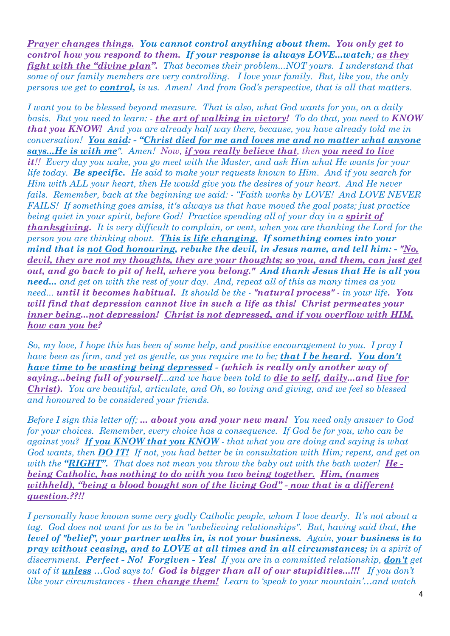*Prayer changes things. You cannot control anything about them. You only get to control how you respond to them. If your response is always LOVE...watch; as they fight with the "divine plan". That becomes their problem...NOT yours. I understand that some of our family members are very controlling. I love your family. But, like you, the only persons we get to control, is us. Amen! And from God's perspective, that is all that matters.* 

*I want you to be blessed beyond measure. That is also, what God wants for you, on a daily basis. But you need to learn: - the art of walking in victory! To do that, you need to KNOW that you KNOW! And you are already half way there, because, you have already told me in conversation! You said: - "Christ died for me and loves me and no matter what anyone says...He is with me". Amen! Now, if you really believe that, then you need to live it!! Every day you wake, you go meet with the Master, and ask Him what He wants for your life today. Be specific. He said to make your requests known to Him. And if you search for Him with ALL your heart, then He would give you the desires of your heart. And He never fails. Remember, back at the beginning we said: - "Faith works by LOVE! And LOVE NEVER FAILS! If something goes amiss, it's always us that have moved the goal posts; just practice being quiet in your spirit, before God! Practice spending all of your day in a <i>spirit of thanksgiving. It is very difficult to complain, or vent, when you are thanking the Lord for the person you are thinking about. This is life changing. If something comes into your mind that is not God honouring, rebuke the devil, in Jesus name, and tell him: - "No, devil, they are not my thoughts, they are your thoughts; so you, and them, can just get out, and go back to pit of hell, where you belong." And thank Jesus that He is all you need... and get on with the rest of your day. And, repeat all of this as many times as you need... until it becomes habitual. It should be the - "natural process" - in your life. You will find that depression cannot live in such a life as this! Christ permeates your inner being...not depression! Christ is not depressed, and if you overflow with HIM, how can you be?* 

*So, my love, I hope this has been of some help, and positive encouragement to you. I pray I have been as firm, and yet as gentle, as you require me to be; that I be heard. You don't have time to be wasting being depressed - (which is really only another way of saying...being full of yourself...and we have been told to die to self, daily...and live for Christ). You are beautiful, articulate, and Oh, so loving and giving, and we feel so blessed and honoured to be considered your friends.* 

*Before I sign this letter off; ... about you and your new man! You need only answer to God for your choices. Remember, every choice has a consequence. If God be for you, who can be against you? If you KNOW that you KNOW - that what you are doing and saying is what God wants, then DO IT! If not, you had better be in consultation with Him; repent, and get on with the "RIGHT". That does not mean you throw the baby out with the bath water! He being Catholic, has nothing to do with you two being together. Him, (names withheld), "being a blood bought son of the living God" - now that is a different question.??!!* 

*I personally have known some very godly Catholic people, whom I love dearly. It's not about a tag. God does not want for us to be in "unbelieving relationships". But, having said that, the level of "belief", your partner walks in, is not your business. Again, your business is to pray without ceasing, and to LOVE at all times and in all circumstances; in a spirit of discernment. Perfect - No! Forgiven - Yes! If you are in a committed relationship, don't get out of it unless …God says to! God is bigger than all of our stupidities...!!! If you don't like your circumstances - then change them! Learn to 'speak to your mountain'…and watch*